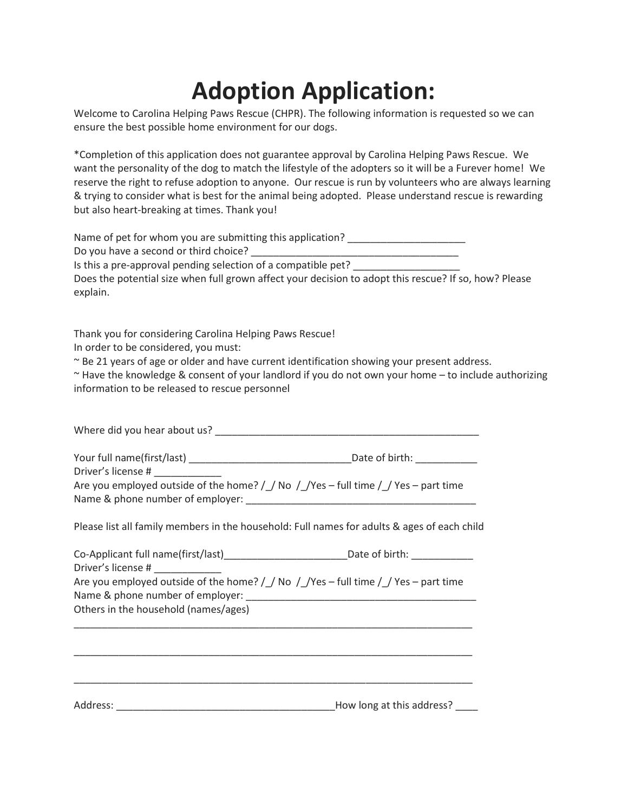## **Adoption Application:**

Welcome to Carolina Helping Paws Rescue (CHPR). The following information is requested so we can ensure the best possible home environment for our dogs.

\*Completion of this application does not guarantee approval by Carolina Helping Paws Rescue. We want the personality of the dog to match the lifestyle of the adopters so it will be a Furever home! We reserve the right to refuse adoption to anyone. Our rescue is run by volunteers who are always learning & trying to consider what is best for the animal being adopted. Please understand rescue is rewarding but also heart-breaking at times. Thank you!

Name of pet for whom you are submitting this application?

Do you have a second or third choice?

Is this a pre-approval pending selection of a compatible pet?

Does the potential size when full grown affect your decision to adopt this rescue? If so, how? Please explain.

Thank you for considering Carolina Helping Paws Rescue!

In order to be considered, you must:

~ Be 21 years of age or older and have current identification showing your present address.

~ Have the knowledge & consent of your landlord if you do not own your home – to include authorizing information to be released to rescue personnel

Where did you hear about us? **Where did you hear about us?** 

Your full name(first/last) \_\_\_\_\_\_\_\_\_\_\_\_\_\_\_\_\_\_\_\_\_\_\_\_\_\_\_\_\_Date of birth: \_\_\_\_\_\_\_\_\_\_\_ Driver's license # \_\_\_\_\_\_\_\_\_\_\_\_

| ________________                                                                     |  |
|--------------------------------------------------------------------------------------|--|
| Are you employed outside of the home? $/$ No $/$ Yes – full time $/$ Yes – part time |  |
| Name & phone number of employer:                                                     |  |

Please list all family members in the household: Full names for adults & ages of each child

| Co-Applicant full name(first/last)                                                                                       | Date of birth: |
|--------------------------------------------------------------------------------------------------------------------------|----------------|
| Driver's license #                                                                                                       |                |
| Are you employed outside of the home? / / No / / Yes – full time / / Yes – part time<br>Name & phone number of employer: |                |
| Others in the household (names/ages)                                                                                     |                |
|                                                                                                                          |                |

Address: \_\_\_\_\_\_\_\_\_\_\_\_\_\_\_\_\_\_\_\_\_\_\_\_\_\_\_\_\_\_\_\_\_\_\_\_\_\_\_How long at this address? \_\_\_\_

\_\_\_\_\_\_\_\_\_\_\_\_\_\_\_\_\_\_\_\_\_\_\_\_\_\_\_\_\_\_\_\_\_\_\_\_\_\_\_\_\_\_\_\_\_\_\_\_\_\_\_\_\_\_\_\_\_\_\_\_\_\_\_\_\_\_\_\_\_\_\_

\_\_\_\_\_\_\_\_\_\_\_\_\_\_\_\_\_\_\_\_\_\_\_\_\_\_\_\_\_\_\_\_\_\_\_\_\_\_\_\_\_\_\_\_\_\_\_\_\_\_\_\_\_\_\_\_\_\_\_\_\_\_\_\_\_\_\_\_\_\_\_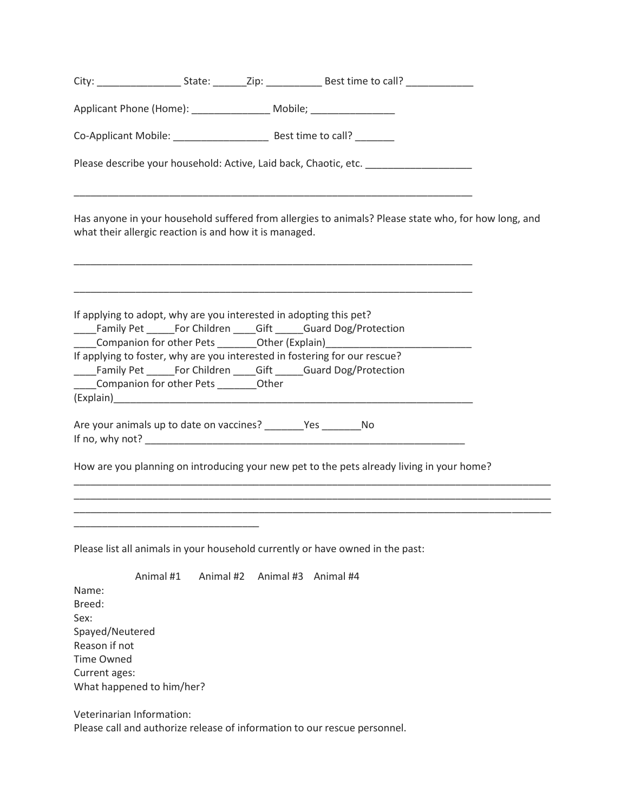|                                                                                                   |                                                                                                                       |           | Applicant Phone (Home): ____________________ Mobile; ___________________________                                                                                                                                                |  |
|---------------------------------------------------------------------------------------------------|-----------------------------------------------------------------------------------------------------------------------|-----------|---------------------------------------------------------------------------------------------------------------------------------------------------------------------------------------------------------------------------------|--|
|                                                                                                   |                                                                                                                       |           |                                                                                                                                                                                                                                 |  |
|                                                                                                   |                                                                                                                       |           | Please describe your household: Active, Laid back, Chaotic, etc. [19] Please describe your household: Active, Laid back, Chaotic, etc.                                                                                          |  |
|                                                                                                   | what their allergic reaction is and how it is managed.                                                                |           | Has anyone in your household suffered from allergies to animals? Please state who, for how long, and<br><u> 1989 - Johann John Stone, markin sanadi amerikan bahasa dalam bahasa dalam bahasa dalam bahasa dalam bahasa d</u>   |  |
|                                                                                                   |                                                                                                                       |           | If applying to adopt, why are you interested in adopting this pet?<br>____Family Pet ______For Children _____Gift _____Guard Dog/Protection<br>Companion for other Pets ___________Other (Explain)_____________________________ |  |
|                                                                                                   | _____Companion for other Pets _________Other                                                                          |           | If applying to foster, why are you interested in fostering for our rescue?<br>____Family Pet ______For Children _____Gift _____Guard Dog/Protection                                                                             |  |
|                                                                                                   |                                                                                                                       |           |                                                                                                                                                                                                                                 |  |
|                                                                                                   |                                                                                                                       |           | How are you planning on introducing your new pet to the pets already living in your home?                                                                                                                                       |  |
|                                                                                                   | <u> 1989 - Johann John Stein, markin film yn y sefydlu yn y sefydlu yn y sefydlu yn y sefydlu yn y sefydlu yn y s</u> |           |                                                                                                                                                                                                                                 |  |
|                                                                                                   |                                                                                                                       |           | Please list all animals in your household currently or have owned in the past:                                                                                                                                                  |  |
| Name:<br>Breed:<br>Sex:<br>Spayed/Neutered<br>Reason if not<br><b>Time Owned</b><br>Current ages: | Animal #1<br>What happened to him/her?                                                                                | Animal #2 | Animal #3<br>Animal #4                                                                                                                                                                                                          |  |
|                                                                                                   | Veterinarian Information:                                                                                             |           | Please call and authorize release of information to our rescue personnel.                                                                                                                                                       |  |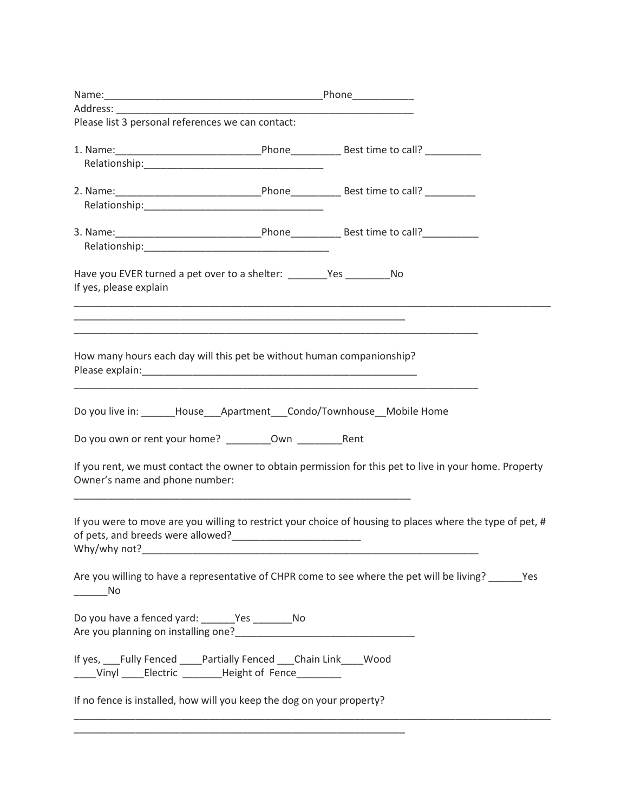| Please list 3 personal references we can contact:                          |                                                             |                                                                                                           |  |
|----------------------------------------------------------------------------|-------------------------------------------------------------|-----------------------------------------------------------------------------------------------------------|--|
|                                                                            |                                                             |                                                                                                           |  |
|                                                                            |                                                             |                                                                                                           |  |
|                                                                            |                                                             |                                                                                                           |  |
|                                                                            |                                                             |                                                                                                           |  |
|                                                                            |                                                             |                                                                                                           |  |
|                                                                            |                                                             |                                                                                                           |  |
|                                                                            |                                                             |                                                                                                           |  |
| Have you EVER turned a pet over to a shelter: _________Yes _____________No |                                                             |                                                                                                           |  |
| If yes, please explain                                                     |                                                             |                                                                                                           |  |
|                                                                            | <u> 1989 - Johann Stoff, amerikansk politiker (d. 1989)</u> |                                                                                                           |  |
|                                                                            |                                                             | <u> 1989 - Johann Stoff, amerikansk politiker (d. 1989)</u>                                               |  |
|                                                                            |                                                             |                                                                                                           |  |
| How many hours each day will this pet be without human companionship?      |                                                             |                                                                                                           |  |
|                                                                            |                                                             |                                                                                                           |  |
|                                                                            |                                                             |                                                                                                           |  |
|                                                                            |                                                             | Do you live in: ______House___Apartment___Condo/Townhouse__Mobile Home                                    |  |
|                                                                            |                                                             |                                                                                                           |  |
|                                                                            |                                                             |                                                                                                           |  |
|                                                                            |                                                             | If you rent, we must contact the owner to obtain permission for this pet to live in your home. Property   |  |
| Owner's name and phone number:                                             |                                                             |                                                                                                           |  |
|                                                                            |                                                             |                                                                                                           |  |
|                                                                            |                                                             | If you were to move are you willing to restrict your choice of housing to places where the type of pet, # |  |
|                                                                            |                                                             |                                                                                                           |  |
|                                                                            |                                                             |                                                                                                           |  |
|                                                                            |                                                             | Are you willing to have a representative of CHPR come to see where the pet will be living? ______ Yes     |  |
| $\rule{1em}{0.15mm}$ No                                                    |                                                             |                                                                                                           |  |
|                                                                            |                                                             |                                                                                                           |  |
| Do you have a fenced yard: _______Yes ___________No                        |                                                             |                                                                                                           |  |
|                                                                            |                                                             |                                                                                                           |  |
| If yes, Fully Fenced ____Partially Fenced ___Chain Link ____ Wood          |                                                             |                                                                                                           |  |
| ____Vinyl _____Electric _________Height of Fence_________                  |                                                             |                                                                                                           |  |
| If no fence is installed, how will you keep the dog on your property?      |                                                             |                                                                                                           |  |
|                                                                            |                                                             |                                                                                                           |  |
|                                                                            |                                                             |                                                                                                           |  |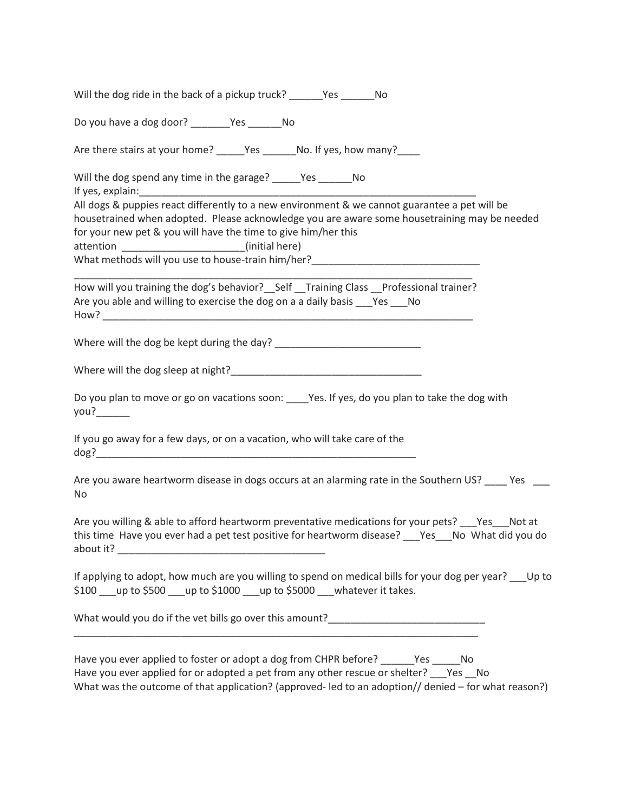| Do you have a dog door? __________Yes __________No                                                                                                                                                                                                                                                                                                                                                                                                                       |
|--------------------------------------------------------------------------------------------------------------------------------------------------------------------------------------------------------------------------------------------------------------------------------------------------------------------------------------------------------------------------------------------------------------------------------------------------------------------------|
| Are there stairs at your home? ______Yes ________No. If yes, how many?_____                                                                                                                                                                                                                                                                                                                                                                                              |
| Will the dog spend any time in the garage? _____Yes _______No<br>All dogs & puppies react differently to a new environment & we cannot guarantee a pet will be<br>housetrained when adopted. Please acknowledge you are aware some housetraining may be needed<br>for your new pet & you will have the time to give him/her this<br>attention ________________________(initial here)<br>What methods will you use to house-train him/her?_______________________________ |
| How will you training the dog's behavior? Self _Training Class _Professional trainer?<br>Are you able and willing to exercise the dog on a a daily basis Pes No                                                                                                                                                                                                                                                                                                          |
|                                                                                                                                                                                                                                                                                                                                                                                                                                                                          |
|                                                                                                                                                                                                                                                                                                                                                                                                                                                                          |
| Do you plan to move or go on vacations soon: _____Yes. If yes, do you plan to take the dog with<br>you?                                                                                                                                                                                                                                                                                                                                                                  |
| If you go away for a few days, or on a vacation, who will take care of the                                                                                                                                                                                                                                                                                                                                                                                               |
| Are you aware heartworm disease in dogs occurs at an alarming rate in the Southern US? _____ Yes ____<br>No                                                                                                                                                                                                                                                                                                                                                              |
| Are you willing & able to afford heartworm preventative medications for your pets? Yes Not at<br>this time Have you ever had a pet test positive for heartworm disease? Ves No What did you do                                                                                                                                                                                                                                                                           |
| If applying to adopt, how much are you willing to spend on medical bills for your dog per year? Up to<br>\$100 __ up to \$500 __ up to \$1000 __ up to \$5000 __ whatever it takes.                                                                                                                                                                                                                                                                                      |
| What would you do if the vet bills go over this amount?__________________________                                                                                                                                                                                                                                                                                                                                                                                        |
| Have you ever applied to foster or adopt a dog from CHPR before? ________Yes _______No<br>Have you ever applied for or adopted a pet from any other rescue or shelter? Pes No<br>What was the outcome of that application? (approved-led to an adoption// denied - for what reason?)                                                                                                                                                                                     |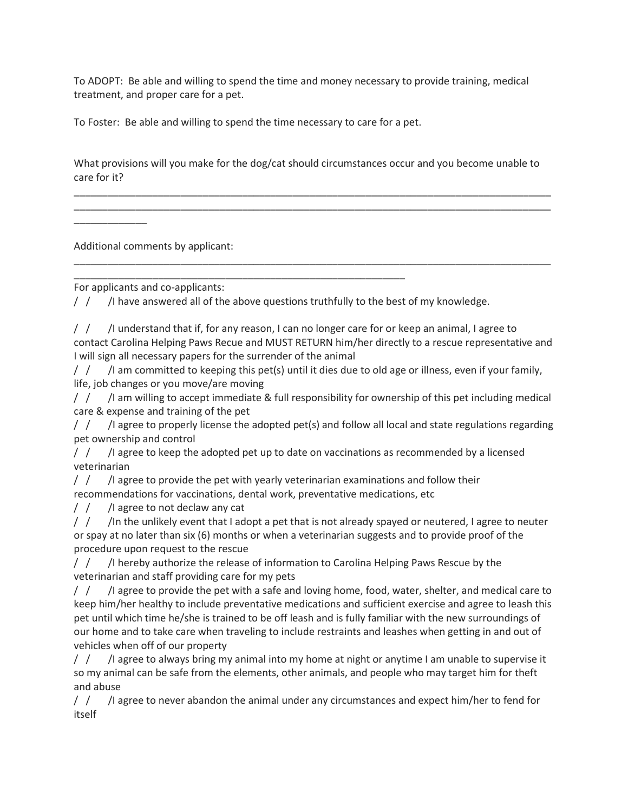To ADOPT: Be able and willing to spend the time and money necessary to provide training, medical treatment, and proper care for a pet.

To Foster: Be able and willing to spend the time necessary to care for a pet.

What provisions will you make for the dog/cat should circumstances occur and you become unable to care for it?

\_\_\_\_\_\_\_\_\_\_\_\_\_\_\_\_\_\_\_\_\_\_\_\_\_\_\_\_\_\_\_\_\_\_\_\_\_\_\_\_\_\_\_\_\_\_\_\_\_\_\_\_\_\_\_\_\_\_\_\_\_\_\_\_\_\_\_\_\_\_\_\_\_\_\_\_\_\_\_\_\_\_\_\_\_ \_\_\_\_\_\_\_\_\_\_\_\_\_\_\_\_\_\_\_\_\_\_\_\_\_\_\_\_\_\_\_\_\_\_\_\_\_\_\_\_\_\_\_\_\_\_\_\_\_\_\_\_\_\_\_\_\_\_\_\_\_\_\_\_\_\_\_\_\_\_\_\_\_\_\_\_\_\_\_\_\_\_\_\_\_

\_\_\_\_\_\_\_\_\_\_\_\_\_\_\_\_\_\_\_\_\_\_\_\_\_\_\_\_\_\_\_\_\_\_\_\_\_\_\_\_\_\_\_\_\_\_\_\_\_\_\_\_\_\_\_\_\_\_\_\_\_\_\_\_\_\_\_\_\_\_\_\_\_\_\_\_\_\_\_\_\_\_\_\_\_

\_\_\_\_\_\_\_\_\_\_\_\_\_

\_\_\_\_\_\_\_\_\_\_\_\_\_\_\_\_\_\_\_\_\_\_\_\_\_\_\_\_\_\_\_\_\_\_\_\_\_\_\_\_\_\_\_\_\_\_\_\_\_\_\_\_\_\_\_\_\_\_\_ For applicants and co-applicants:

Additional comments by applicant:

 $/ /$  /  $/$  l have answered all of the above questions truthfully to the best of my knowledge.

 $/ /$  /  $/$  lunderstand that if, for any reason, I can no longer care for or keep an animal, I agree to contact Carolina Helping Paws Recue and MUST RETURN him/her directly to a rescue representative and I will sign all necessary papers for the surrender of the animal

 $/$   $/$   $/$  am committed to keeping this pet(s) until it dies due to old age or illness, even if your family, life, job changes or you move/are moving

 $/ /$  /  $/$  am willing to accept immediate & full responsibility for ownership of this pet including medical care & expense and training of the pet

/ / /I agree to properly license the adopted pet(s) and follow all local and state regulations regarding pet ownership and control

 $/$   $/$   $/$   $/$  lagree to keep the adopted pet up to date on vaccinations as recommended by a licensed veterinarian

 $/$   $/$   $/$   $/$  agree to provide the pet with yearly veterinarian examinations and follow their recommendations for vaccinations, dental work, preventative medications, etc

/ / /I agree to not declaw any cat

 $/$   $/$   $/$   $/$ In the unlikely event that I adopt a pet that is not already spayed or neutered, I agree to neuter or spay at no later than six (6) months or when a veterinarian suggests and to provide proof of the procedure upon request to the rescue

/ / /I hereby authorize the release of information to Carolina Helping Paws Rescue by the veterinarian and staff providing care for my pets

/ / /I agree to provide the pet with a safe and loving home, food, water, shelter, and medical care to keep him/her healthy to include preventative medications and sufficient exercise and agree to leash this pet until which time he/she is trained to be off leash and is fully familiar with the new surroundings of our home and to take care when traveling to include restraints and leashes when getting in and out of vehicles when off of our property

 $/$   $/$   $/$   $/$  agree to always bring my animal into my home at night or anytime I am unable to supervise it so my animal can be safe from the elements, other animals, and people who may target him for theft and abuse

/ / /I agree to never abandon the animal under any circumstances and expect him/her to fend for itself